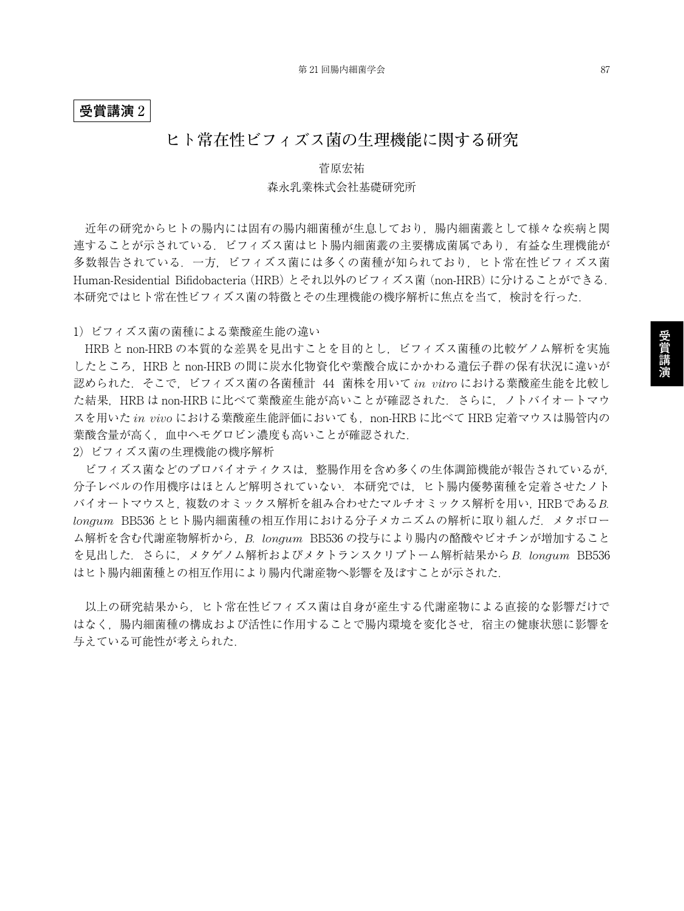## **受賞講演** 2

## **ヒト常在性ビフィズス菌の生理機能に関する研究**

## 菅原宏祐 森永乳業株式会社基礎研究所

近年の研究からヒトの腸内には固有の腸内細菌種が生息しており,腸内細菌叢として様々な疾病と関 連することが示されている.ビフィズス菌はヒト腸内細菌叢の主要構成菌属であり,有益な生理機能が 多数報告されている.一方,ビフィズス菌には多くの菌種が知られており,ヒト常在性ビフィズス菌 Human-Residential Bifidobacteria (HRB) とそれ以外のビフィズス菌 (non-HRB) に分けることができる. 本研究ではヒト常在性ビフィズス菌の特徴とその生理機能の機序解析に焦点を当て,検討を行った.

1)ビフィズス菌の菌種による葉酸産生能の違い

HRB と non-HRB の本質的な差異を見出すことを目的とし、ビフィズス菌種の比較ゲノム解析を実施 したところ,HRB と non-HRB の間に炭水化物資化や葉酸合成にかかわる遺伝子群の保有状況に違いが 認められた.そこで,ビフィズス菌の各菌種計 44 菌株を用いて *in vitro* における葉酸産生能を比較し た結果, HRB は non-HRB に比べて葉酸産生能が高いことが確認された. さらに、ノトバイオートマウ スを用いた *in vivo* における葉酸産生能評価においても,non-HRB に比べて HRB 定着マウスは腸管内の 葉酸含量が高く,血中ヘモグロビン濃度も高いことが確認された.

2)ビフィズス菌の生理機能の機序解析

ビフィズス菌などのプロバイオティクスは,整腸作用を含め多くの生体調節機能が報告されているが, 分子レベルの作用機序はほとんど解明されていない. 本研究では、ヒト腸内優勢菌種を定着させたノト バイオートマウスと,複数のオミックス解析を組み合わせたマルチオミックス解析を用い,HRBである*B. longum* BB536 とヒト腸内細菌種の相互作用における分子メカニズムの解析に取り組んだ.メタボロー ム解析を含む代謝産物解析から,*B. longum* BB536 の投与により腸内の酪酸やビオチンが増加すること を見出した.さらに,メタゲノム解析およびメタトランスクリプトーム解析結果から *B. longum* BB536 はヒト腸内細菌種との相互作用により腸内代謝産物へ影響を及ぼすことが示された.

以上の研究結果から,ヒト常在性ビフィズス菌は自身が産生する代謝産物による直接的な影響だけで はなく,腸内細菌種の構成および活性に作用することで腸内環境を変化させ,宿主の健康状態に影響を 与えている可能性が考えられた.